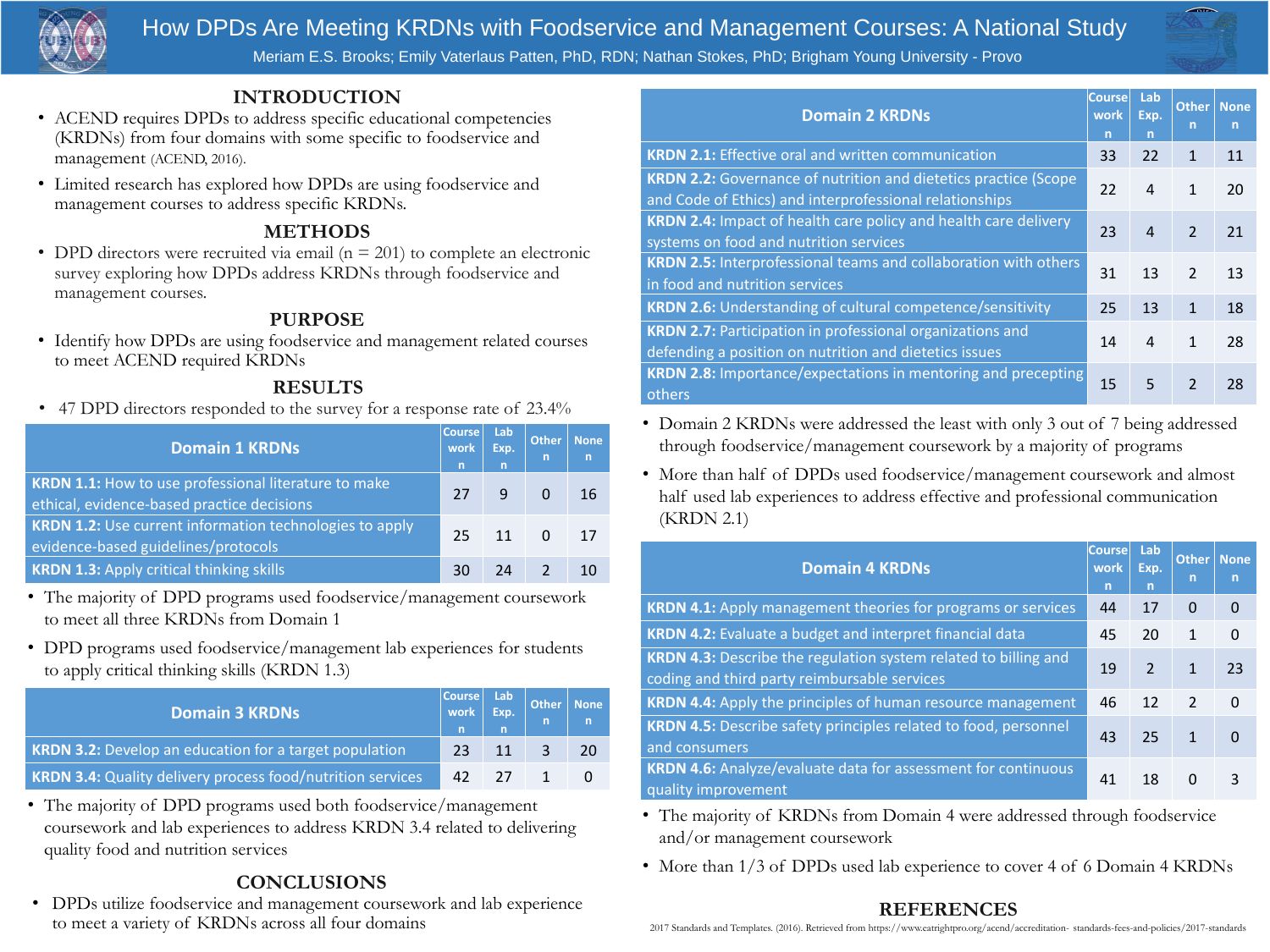

# **INTRODUCTION**

- ACEND requires DPDs to address specific educational competencies (KRDNs) from four domains with some specific to foodservice and management (ACEND, 2016).
- Limited research has explored how DPDs are using foodservice and management courses to address specific KRDNs.

• DPD directors were recruited via email  $(n = 201)$  to complete an electronic survey exploring how DPDs address KRDNs through foodservice and management courses.

# **PURPOSE**

• Identify how DPDs are using foodservice and management related courses to meet ACEND required KRDNs

# **METHODS**

# **CONCLUSIONS**

• DPDs utilize foodservice and management coursework and lab experience to meet a variety of KRDNs across all four domains

**KRDN 4.4: Apply the principles of human resource KRDN 4.5: Describe safety principles related to food** and consumers

KRDN 4.6: Analyze/evaluate data for assessment for quality improvement

# How DPDs Are Meeting KRDNs with Foodservice and Management Courses: A National Study Meriam E.S. Brooks; Emily Vaterlaus Patten, PhD, RDN; Nathan Stokes, PhD; Brigham Young University - Provo

# **Domain 4 KRDNs**

**KRDN 4.1: Apply management theories for program** 

**KRDN 4.2: Evaluate a budget and interpret financial KRDN 4.3: Describe the regulation system related to** 

coding and third party reimbursable services

|                | Course<br>work<br>n | Lab<br>Exp.<br>$\overline{\mathsf{n}}$ | Other<br>n     | <b>None</b><br>n |
|----------------|---------------------|----------------------------------------|----------------|------------------|
| IS Or services | 44                  | 17                                     | $\overline{0}$ | $\bigcap$        |
| data           | 45                  | 20                                     | 1              | $\Omega$         |
| billing and    | 19                  | $\overline{2}$                         | $\mathbf 1$    | 23               |
| nanagement     | 46                  | 12                                     | $\mathcal{L}$  | $\bf{0}$         |
| l, personnel   | 43                  | 25                                     | $\mathbf 1$    | $\bf{0}$         |
| r continuous   | 41                  | 18                                     | $\bigcap$      | 3                |

**KRDN 2.1: Effective oral and written communication KRDN 2.2: Governance of nutrition and dietetics practice (SCOPE)** and Code of Ethics) and interprofessional relationships KRDN 2.4: Impact of health care policy and health c systems on food and nutrition services

• The majority of KRDNs from Domain 4 were addressed through foodservice and/or management coursework

• More than 1/3 of DPDs used lab experience to cover 4 of 6 Domain 4 KRDNs

KRDN 2.5: Interprofessional teams and collaboration in food and nutrition services

# **Domain 3 KRDNs**

**KRDN 3.2: Develop an education for a target** KRDN 3.4: Quality delivery process food/nutr

KRDN 2.6: Understanding of cultural competence/s **KRDN 2.7: Participation in professional organizations and the KRDN 2.7: Participation** defending a position on nutrition and dietetics issue KRDN 2.8: Importance/expectations in mentoring and others

|                 | <b>Course</b><br>work<br>n | Lab<br>Exp.<br>n | <b>Other</b><br>n | <b>None</b> |
|-----------------|----------------------------|------------------|-------------------|-------------|
| population      | 23                         | 11               | 3                 | 20          |
| rition services | 42                         | 27               |                   |             |

• Domain 2 KRDNs were addressed the least with only 3 out of 7 being addressed through foodservice/management coursework by a majority of programs

• More than half of DPDs used foodservice/management coursework and almost half used lab experiences to address effective and professional communication (KRDN 2.1)

• The majority of DPD programs used both foodservice/management coursework and lab experiences to address KRDN 3.4 related to delivering quality food and nutrition services

# **Domain 1 KRDNs**

KRDN 1.1: How to use professional literature ethical, evidence-based practice decisions **KRDN 1.2:** Use current information technologies to apply evidence-based guidelines/protocols **KRDN 1.3: Apply critical thinking skills** 

|               | Course<br>work<br>n | Lab<br>Exp.<br>$\overline{\mathsf{n}}$ | Other<br>n     | None<br>$\mathbf n$ |
|---------------|---------------------|----------------------------------------|----------------|---------------------|
| to make       | 27                  | 9                                      | $\Omega$       | 16                  |
| gies to apply | 25                  | 11                                     | $\overline{0}$ | 17                  |
|               | 30                  | 24                                     | $\overline{2}$ | 10                  |

- The majority of DPD programs used foodservice/management coursework to meet all three KRDNs from Domain 1
- DPD programs used foodservice/management lab experiences for students to apply critical thinking skills (KRDN 1.3)

# **Domain 2 KRDNs**

|                                   | <b>Course</b><br>work<br>$\overline{\mathsf{n}}$ | Lab<br>Exp.<br>n | Other<br>n              | <b>None</b><br>n |
|-----------------------------------|--------------------------------------------------|------------------|-------------------------|------------------|
| $\bigcap$                         | 33                                               | 22               | 1                       | 11               |
| actice (Scope<br>ips              | 22                                               | $\overline{4}$   | $\mathbf 1$             | 20               |
| are delivery                      | 23                                               |                  | $\overline{2}$          | 21               |
| n with others                     | 31                                               | 13               | $\overline{2}$          | 13               |
| ensitivity                        | 25                                               | 13               | 1                       | 18               |
| is and<br>$\overline{\mathsf{S}}$ | 14                                               | $\overline{4}$   | $\overline{\mathbf{1}}$ | 28               |
| nd precepting                     | 15                                               | 5                | $\overline{2}$          | 28               |

# **RESULTS**

• 47 DPD directors responded to the survey for a response rate of 23.4%

# **REFERENCES**

2017 Standards and Templates. (2016). Retrieved from https://www.eatrightpro.org/acend/accreditation- standards-fees-and-policies/2017-standards

| <b><i><u>A CONTRACTOR AND A CONTRACTORS OF A CONTRACTORS OF A CONTRACTORS OF A CONTRACTORS OF A CONTRACTORS OF A CONTRACTORS OF A CONTRACTORS OF A CONTRACTORS OF A CONTRACTORS OF A CONTRACTORS OF A CONTRACTORS OF A CONTRACTORS O</u></i></b> |  |  |
|--------------------------------------------------------------------------------------------------------------------------------------------------------------------------------------------------------------------------------------------------|--|--|
|                                                                                                                                                                                                                                                  |  |  |
| - 11<br>×                                                                                                                                                                                                                                        |  |  |
|                                                                                                                                                                                                                                                  |  |  |
| .                                                                                                                                                                                                                                                |  |  |
|                                                                                                                                                                                                                                                  |  |  |
|                                                                                                                                                                                                                                                  |  |  |
|                                                                                                                                                                                                                                                  |  |  |

AIR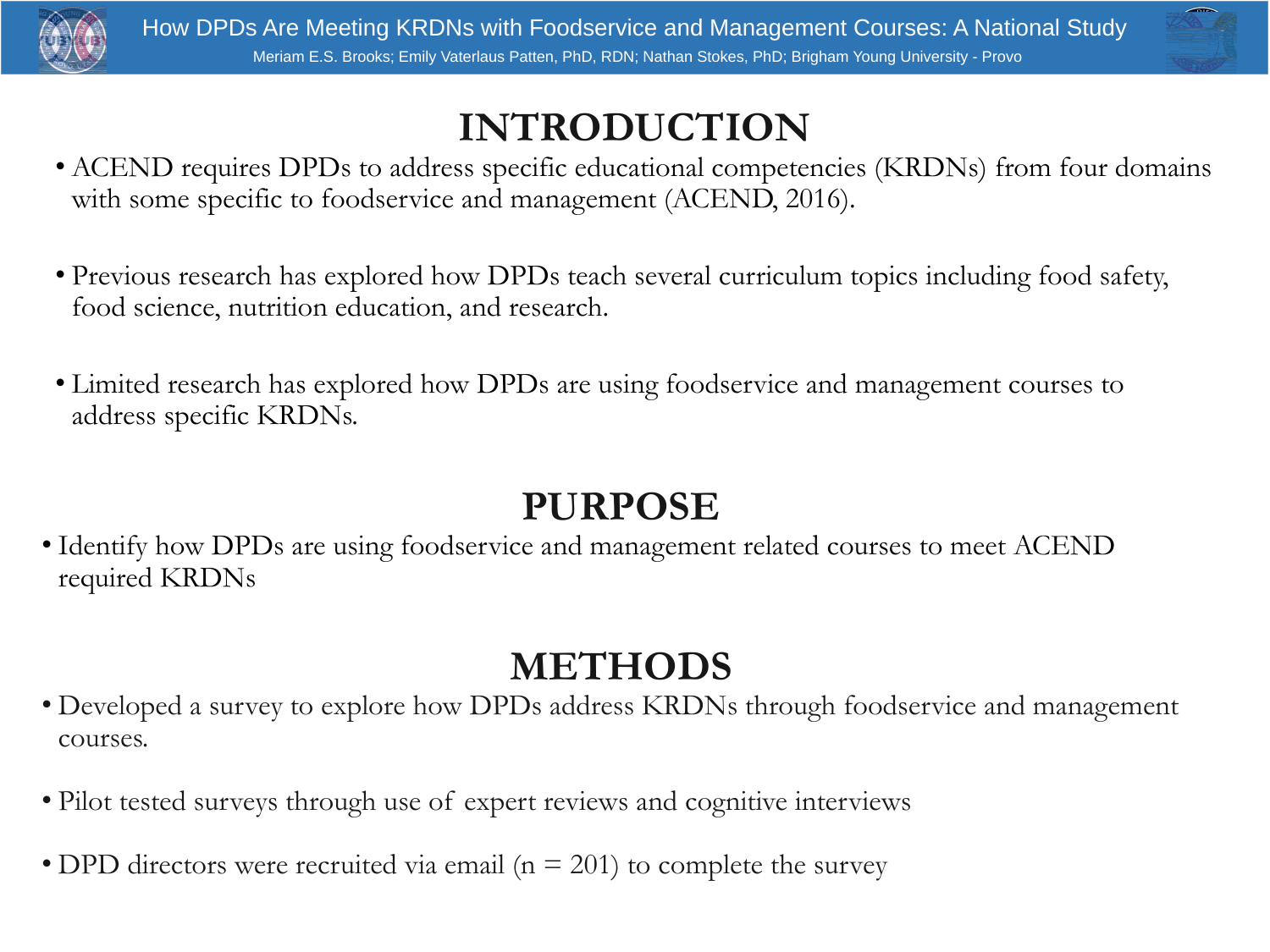# **INTRODUCTION**

• ACEND requires DPDs to address specific educational competencies (KRDNs) from four domains with some specific to foodservice and management (ACEND, 2016).

• Previous research has explored how DPDs teach several curriculum topics including food safety, food science, nutrition education, and research.

• Limited research has explored how DPDs are using foodservice and management courses to



- 
- 
- address specific KRDNs.

# **PURPOSE**

• Identify how DPDs are using foodservice and management related courses to meet ACEND

required KRDNs

# **METHODS**

• Developed a survey to explore how DPDs address KRDNs through foodservice and management



- courses.
- 
- 

• Pilot tested surveys through use of expert reviews and cognitive interviews

• DPD directors were recruited via email ( $n = 201$ ) to complete the survey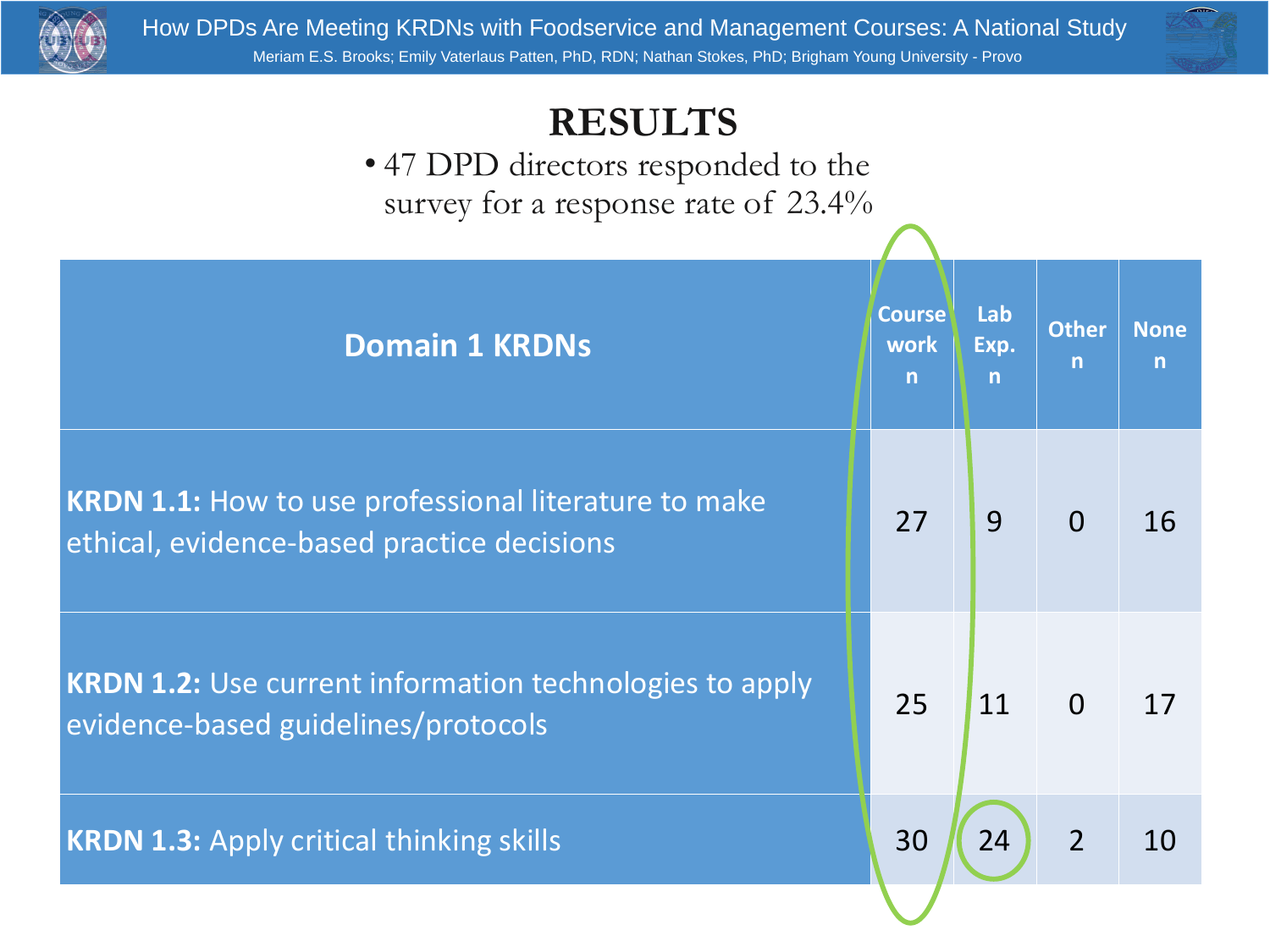# **Course work n**

# **RESULTS** • 47 DPD directors responded to the survey for a response rate of 23.4%

# Domain 1 KRDNs

**KRDN 1.1:** How to use professional literature to make ethical, evidence-based practice decisions

**KRDN 1.2:** Use current information technologies to apply

| burse<br>vork<br>n | Lab<br>Exp.<br>n | Other<br>n | None<br>n |
|--------------------|------------------|------------|-----------|
| 27                 | 9                | $\bigcap$  | 16        |
| 25                 | 11               | $\bigcap$  | 17        |
| 30                 | 24               |            | 10        |

# evidence-based guidelines/protocols



# **KRDN 1.3:** Apply critical thinking skills 30 24 2 10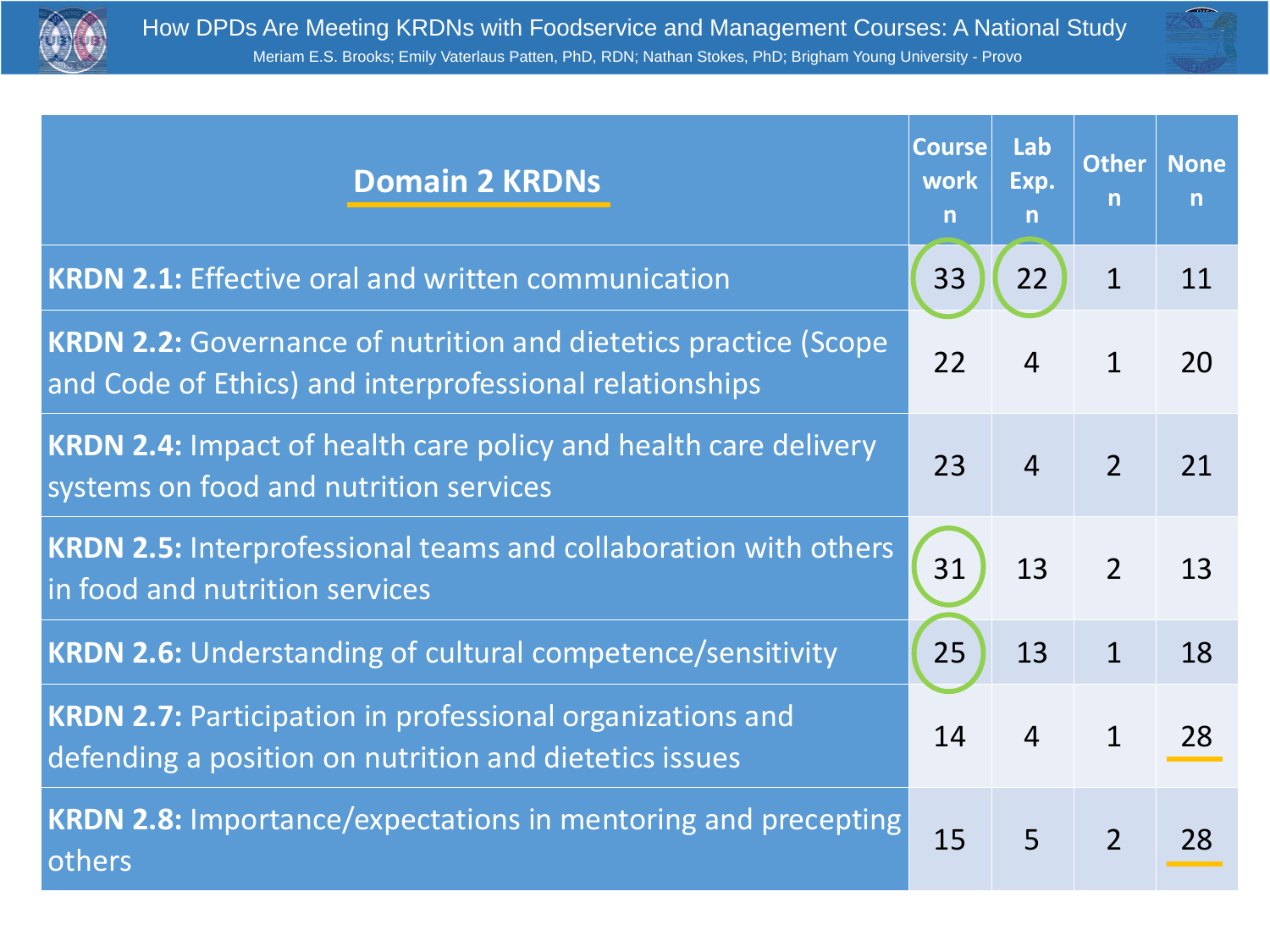# **Domain 2 KRDNs**



| <b>n</b> | burse Lab<br>vork Exp.<br>n | Other   None<br>n | n  |
|----------|-----------------------------|-------------------|----|
| 33       | L                           |                   |    |
| 22       | <u>Д</u>                    |                   | 20 |
| 23       | 4                           | $\overline{2}$    | 21 |
| 31       | 13                          | $\overline{2}$    | 13 |
| 25       | 13                          |                   | 18 |
| 14       | $\overline{\mathbf{4}}$     |                   | 28 |
| 15       | 5                           |                   | 28 |

- **KRDN 2.1:** Effective oral and written communication 33 22 1 11
- **KRDN 2.2:** Governance of nutrition and dietetics practice (Scope and Code of Ethics) and interprofessional relationships
- **KRDN 2.4:** Impact of health care policy and health care delivery
- **KRDN 2.5: Interprofessional teams and collaboration with others |**
- **KRDN 2.6: Understanding of cultural competence/sensitivity**
- **KRDN 2.7: Participation in professional organizations and** defending a position on nutrition and dietetics issues
- **KRDN 2.8:** Importance/expectations in mentoring and precepting

# systems on food and nutrition services in food and nutrition services others

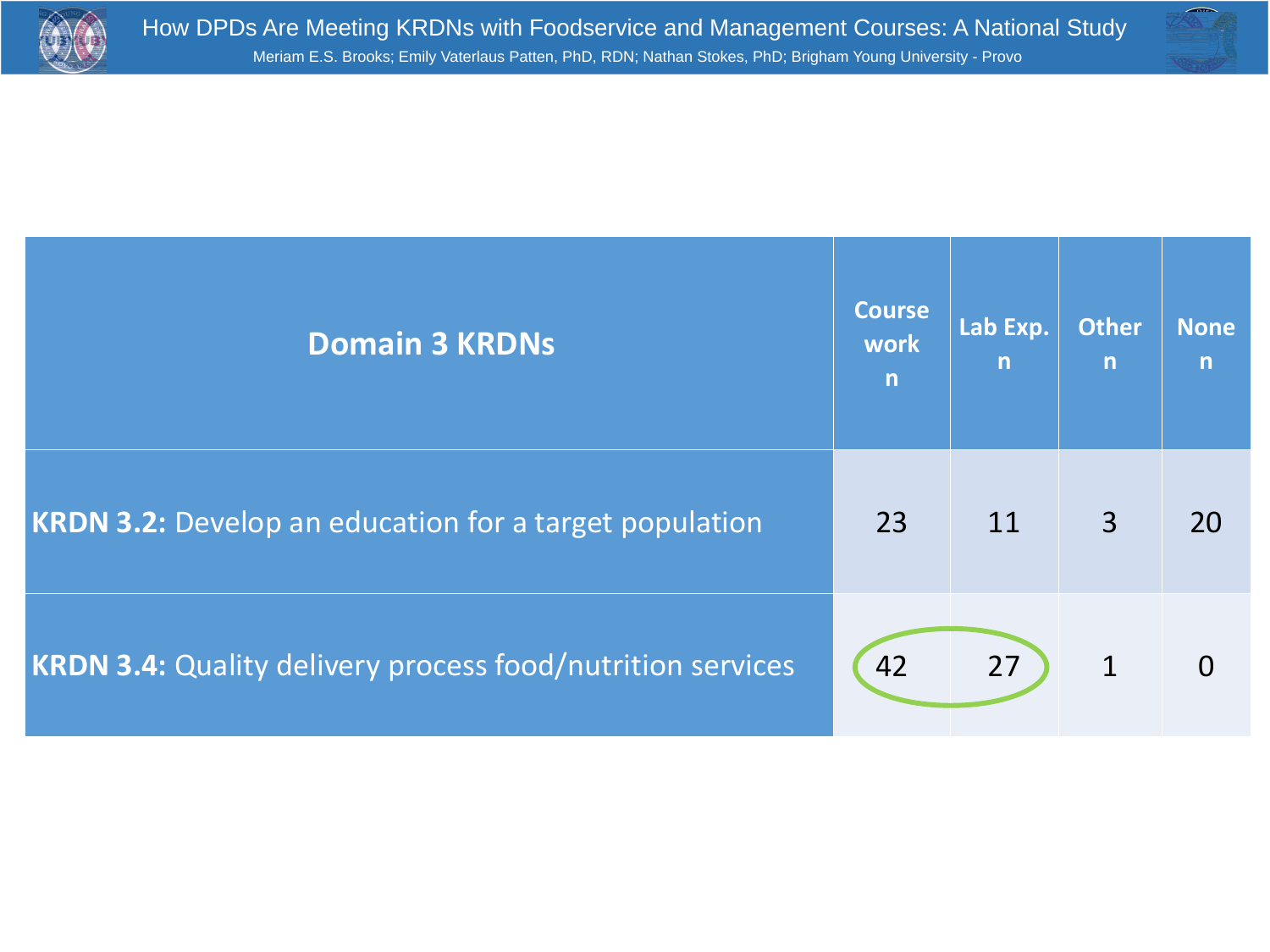

# **KRDN 3.2:** Develop an education for a target population 123

# **KRDN 3.4: Quality delivery process food/nutrition services (42)**

# **Domain 3 KRDNs**



| Lab Exp. Other<br>n | n | None<br>ł.<br>n |
|---------------------|---|-----------------|
| 11                  | 3 | 20              |
| 27                  |   | $\bigcap$       |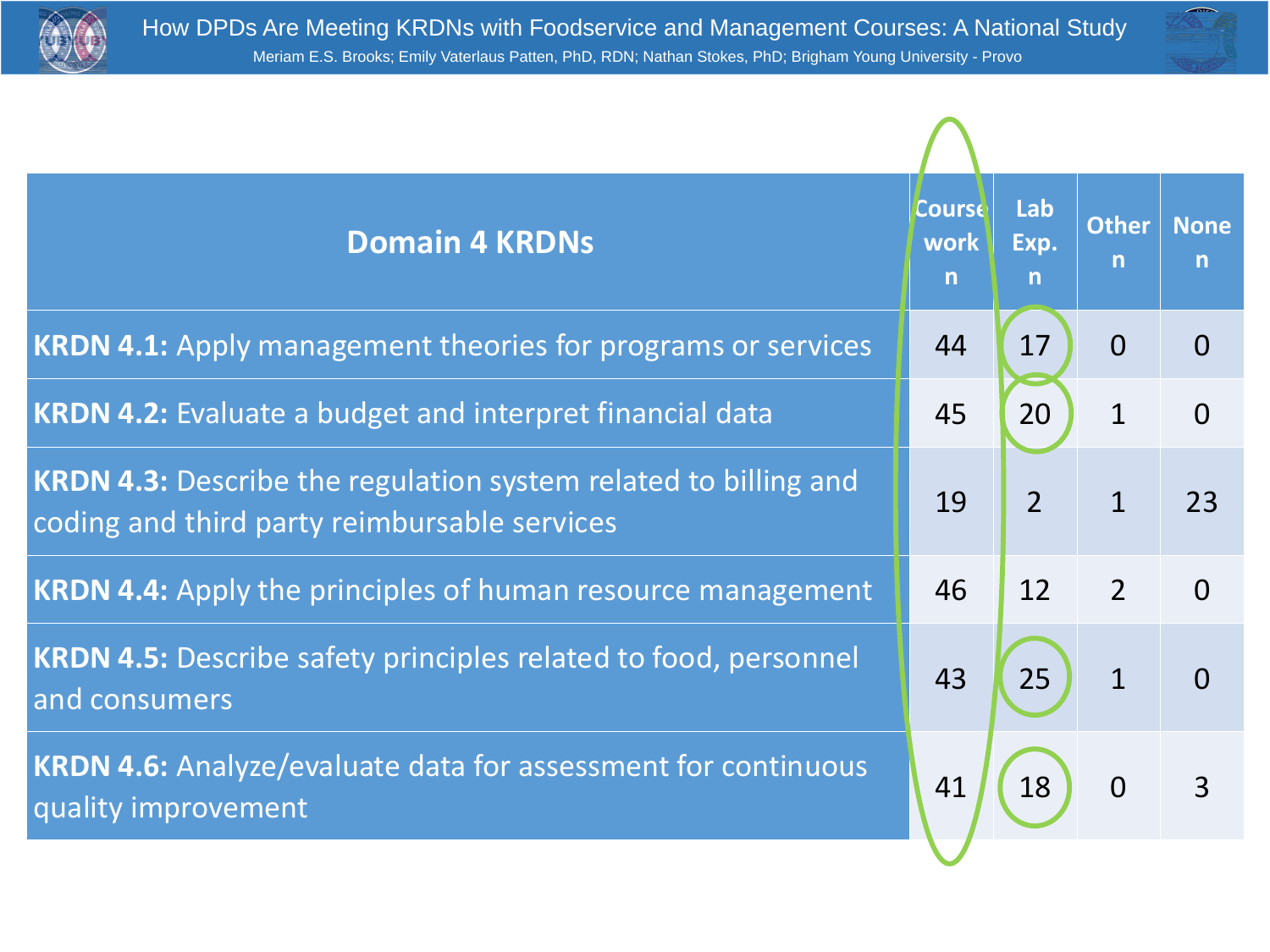

# **KRDN 4.1:** Apply management theories for programs or services | 44 **KRDN 4.2:** Evaluate a budget and interpret financial data **1997 11: 45 KRDN 4.3: Describe the regulation system related to billing and** coding and third party reimbursable services **KRDN 4.4:** Apply the principles of human resource management | 46 **KRDN 4.5:** Describe safety principles related to food, personnel and consumers **KRDN 4.6: Analyze/evaluate data for assessment for continuous** quality improvement

# How DPDs Are Meeting KRDNs with Foodservice and Management Courses: A National Study Meriam E.S. Brooks; Emily Vaterlaus Patten, PhD, RDN; Nathan Stokes, PhD; Brigham Young University - Provo

# **Domain 4 KRDNs**

- 
- 
- 
- 
- 



| Durse<br>vork<br><b>n</b> | Lab<br>  Exp.<br>n | Other   None<br>n | n         |
|---------------------------|--------------------|-------------------|-----------|
| 44                        | ┹ノ                 |                   |           |
| 45                        | 20                 |                   | $\bigcap$ |
| 19                        |                    |                   | 13        |
| 46                        | 12                 |                   | $\Box$    |
| 43                        | <b>ZJ</b>          |                   |           |
| 41                        | 18                 | $\bigcap$         | 3         |